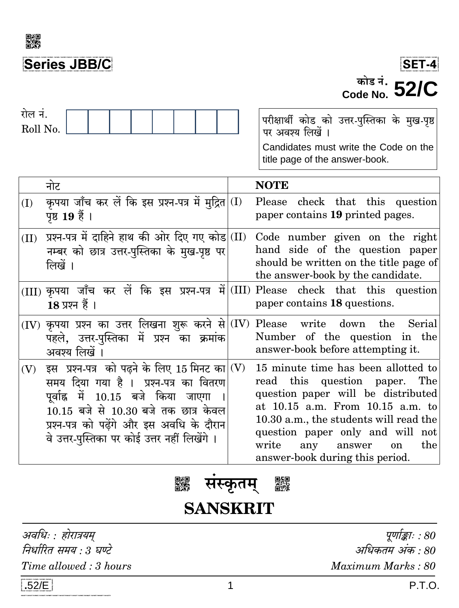

# **Series JBB/C**

# SET-4<br>Code No. 52/C

| रोल नं.<br>Roll No. |                                                                                                                                                                                                                                                                                  | परीक्षार्थी कोड को उत्तर-पुस्तिका के मुख-पृष्ठ<br>पर अवश्य लिखें ।<br>Candidates must write the Code on the<br>title page of the answer-book.                                                                                                                                                                     |
|---------------------|----------------------------------------------------------------------------------------------------------------------------------------------------------------------------------------------------------------------------------------------------------------------------------|-------------------------------------------------------------------------------------------------------------------------------------------------------------------------------------------------------------------------------------------------------------------------------------------------------------------|
|                     | नोट                                                                                                                                                                                                                                                                              | <b>NOTE</b>                                                                                                                                                                                                                                                                                                       |
| (I)                 | कृपया जाँच कर लें कि इस प्रश्न-पत्र में मुद्रित $\vert$ (I)<br>पृष्ठ 19 हैं ।                                                                                                                                                                                                    | Please check that this question<br>paper contains 19 printed pages.                                                                                                                                                                                                                                               |
| (II)                | प्रश्न-पत्र में दाहिने हाथ की ओर दिए गए कोड $\vert$ (II)<br>नम्बर को छात्र उत्तर-पुस्तिका के मुख-पृष्ठ पर<br>लिखें ।                                                                                                                                                             | Code number given on the right<br>hand side of the question paper<br>should be written on the title page of<br>the answer-book by the candidate.                                                                                                                                                                  |
|                     | (III) कृपया जाँच कर लें कि इस प्रश्न-पत्र<br>$18 \,\overline{\text{y}}$ श्म हैं ।                                                                                                                                                                                                | $\vec{\theta}$ (III) Please check that this question<br>paper contains 18 questions.                                                                                                                                                                                                                              |
|                     | $\rm (IV)$ कृपया प्रश्न का उत्तर लिखना शुरू करने से $\rm  (IV)\,$ Please<br>पहले, उत्तर-पुस्तिका में प्रश्न का क्रमांक<br>अवश्य लिखें ।                                                                                                                                          | write<br>down the<br>Serial<br>Number of the question in the<br>answer-book before attempting it.                                                                                                                                                                                                                 |
| (V)                 | इस प्रश्न-पत्र को पढ़ने के लिए 15 मिनट का $\vert$ (V)<br>समय दिया गया है । प्रश्न-पत्र का वितरण<br>पूर्वाह्न में 10.15 बजे किया जाएगा<br>$10.15$ बजे से $10.30$ बजे तक छात्र केवल<br>प्रश्न-पत्र को पढ़ेंगे और इस अवधि के दौरान<br>वे उत्तर-पुस्तिका पर कोई उत्तर नहीं लिखेंगे । | 15 minute time has been allotted to<br>read this question paper. The<br>question paper will be distributed<br>at 10.15 a.m. From 10.15 a.m. to<br>10.30 a.m., the students will read the<br>question paper only and will not<br>write<br>the<br>any<br>answer<br><sub>on</sub><br>answer-book during this period. |

## ■<sub>説</sub><br>首次。 **SANSKRIT**

अवधिः : होरात्रयम् निर्धारित समय : 3 घण्टे Time allowed: 3 hours

पूर्णाङ्काः : 80 अधिकतम अंक : 80 Maximum Marks: 80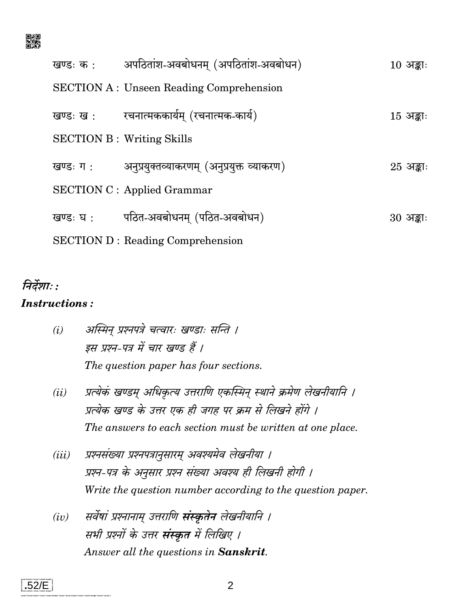

| खण्डः क : | अपठितांश-अवबोधनम् (अपठितांश-अवबोधन)            | $10 \;$ अङ्काः |  |
|-----------|------------------------------------------------|----------------|--|
|           | <b>SECTION A: Unseen Reading Comprehension</b> |                |  |
| खण्डः ख : | रचनात्मककार्यम् (रचनात्मक-कार्य)               | $15 \;$ अङ्काः |  |
|           | <b>SECTION B</b> : Writing Skills              |                |  |
| खण्डः ग:  | अनुप्रयुक्तव्याकरणम् (अनुप्रयुक्तं व्याकरण)    | $25 \;$ अङ्काः |  |
|           | <b>SECTION C</b> : Applied Grammar             |                |  |
| खण्डः घ:  | पठित-अवबोधनम् (पठित-अवबोधन)                    | $30 \;$ अङ्काः |  |
|           | <b>SECTION D</b> : Reading Comprehension       |                |  |

## निर्देशाः : **Instructions:**

- अस्मिन प्रश्नपत्रे चत्वारः खण्डाः सन्ति ।  $(i)$ इस प्रश्न-पत्र में चार खण्ड हैं । The question paper has four sections.
- (ii) प्रत्येकं खण्डम् अधिकृत्य उत्तराणि एकस्मिन् स्थाने क्रमेण लेखनीयानि । प्रत्येक खण्ड के उत्तर एक ही जगह पर क्रम से लिखने होंगे । The answers to each section must be written at one place.
- प्रश्नसंख्या प्रश्नपत्रानुसारम् अवश्यमेव लेखनीया ।  $(iii)$ प्रश्न-पत्र के अनुसार प्रश्न संख्या अवश्य ही लिखनी होगी । Write the question number according to the question paper.
- सर्वेषां प्रश्नानाम् उत्तराणि **संस्कृतेन** लेखनीयानि ।  $(iv)$ सभी प्रश्नों के उत्तर **संस्कृत** में लिखिए । Answer all the questions in Sanskrit.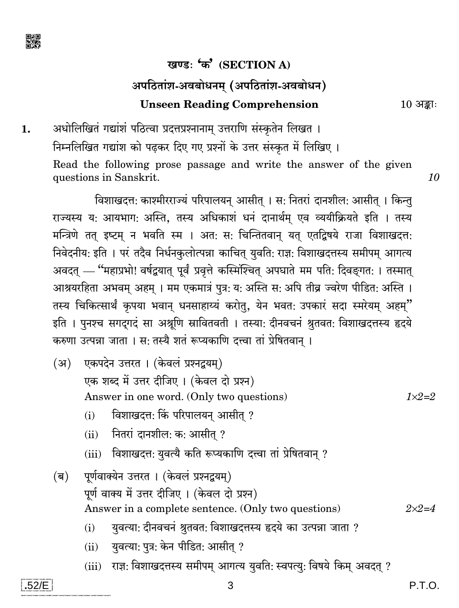

#### खण्डः 'क' (SECTION A)

# अपठितांश-अवबोधनम् (अपठितांश-अवबोधन)

#### **Unseen Reading Comprehension**

अधोलिखितं गद्यांशं पठित्वा प्रदत्तप्रश्नानाम् उत्तराणि संस्कृतेन लिखत । 1. निम्नलिखित गद्यांश को पढकर दिए गए प्रश्नों के उत्तर संस्कृत में लिखिए। Read the following prose passage and write the answer of the given questions in Sanskrit. 10

विशाखदत्त: काश्मीरराज्यं परिपालयन् आसीत् । स: नितरां दानशील: आसीत् । किन्तु राज्यस्य य: आयभाग: अस्ति, तस्य अधिकाशं धनं दानार्थम् एव व्ययीक्रियते इति । तस्य मन्त्रिणे तत् इष्टम् न भवति स्म । अत: स: चिन्तितवान् यत् एतद्विषये राजा विशाखदत्त: निवेदनीय: इति । परं तदैव निर्धनकुलोत्पन्ना काचित् युवति: राज्ञ: विशाखदत्तस्य समीपम् आगत्य अवदत् — "महाप्रभो! वर्षद्वयात् पूर्वं प्रवृत्ते कस्मिंश्चित् अपघाते मम पति: दिवङ्गत: । तस्मात् आश्रयरहिता अभवम् अहम् । मम एकमात्रं पुत्र: य: अस्ति स: अपि तीव्र ज्वरेण पीडित: अस्ति । तस्य चिकित्सार्थं कृपया भवान् धनसाहाय्यं करोत्, येन भवत: उपकारं सदा स्मरेयम् अहम्" इति । पुनश्च सगदुगदं सा अश्रूणि स्रावितवती । तस्या: दीनवचनं श्रुतवत: विशाखदत्तस्य हृदये करुणा उत्पन्ना जाता । स: तस्यै शतं रूप्यकाणि दत्त्वा तां प्रेषितवान ।

- $(3)$ एकपदेन उत्तरत। (केवलं प्रश्नद्वयम) एक शब्द में उत्तर दीजिए। (केवल दो प्रश्न) Answer in one word. (Only two questions)  $1 \times 2 = 2$ 
	- विशाखदत्त: किं परिपालयन् आसीत् ?  $(i)$
	- नितरां दानशील: क: आसीत ?  $(ii)$
	- विशाखदत्त: युवत्यै कति रूप्यकाणि दत्त्वा तां प्रेषितवान् ?  $(iii)$
- पूर्णवाक्येन उत्तरत । (केवलं प्रश्नद्वयम्)  $(\overline{\mathsf{q}})$ पूर्ण वाक्य में उत्तर दीजिए। (केवल दो प्रश्न) Answer in a complete sentence. (Only two questions)  $2 \times 2 = 4$ 
	- युवत्या: दीनवचनं श्रुतवत: विशाखदत्तस्य हृदये का उत्पन्ना जाता ?  $(i)$
	- युवत्या: पुत्र: केन पीडित: आसीत् ?  $(ii)$
	- राज्ञ: विशाखदत्तस्य समीपम् आगत्य युवति: स्वपत्यु: विषये किम् अवदत् ?  $(iii)$

 $10 \;$ अङ्काः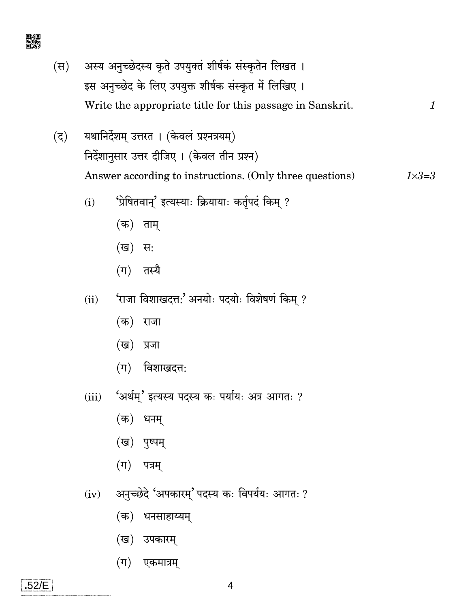

- अस्य अनुच्छेदस्य कृते उपयुक्तं शीर्षकं संस्कृतेन लिखत ।  $(\overline{\mathbf{E}})$ इस अनुच्छेद के लिए उपयुक्त शीर्षक संस्कृत में लिखिए। Write the appropriate title for this passage in Sanskrit.  $\boldsymbol{\mathit{1}}$
- यथानिर्देशम् उत्तरत । (केवलं प्रश्नत्रयम्)  $(5)$ निर्देशानुसार उत्तर दीजिए । (केवल तीन प्रश्न) Answer according to instructions. (Only three questions)  $1\times3=3$ 
	- 'प्रेषितवान्' इत्यस्याः क्रियायाः कर्तृपदं किम् ?  $(i)$ 
		- (क) ताम<del>्</del>
		- (ख) स:
		- $(\Pi)$  तस्यै
	- 'राजा विशाखदत्त:' अनयोः पदयोः विशेषणं किम् ?  $(ii)$ 
		- (क) राजा
		- (ख) प्रजा
		- $(\pi)$  विशाखदत्त:
	- 'अर्थम्' इत्यस्य पदस्य कः पर्यायः अत्र आगतः ?  $(iii)$ 
		- (क) धनम्
		- (ख) पुष्पम्
		- $(\Pi)$  पत्रम्
	- अनुच्छेदे 'अपकारम्' पदस्य कः विपर्ययः आगतः ?  $(iv)$ 
		- (क) धनसाहाय्यम्
		- (ख) उपकारम्
		- $(\Pi)$ एकमात्रम्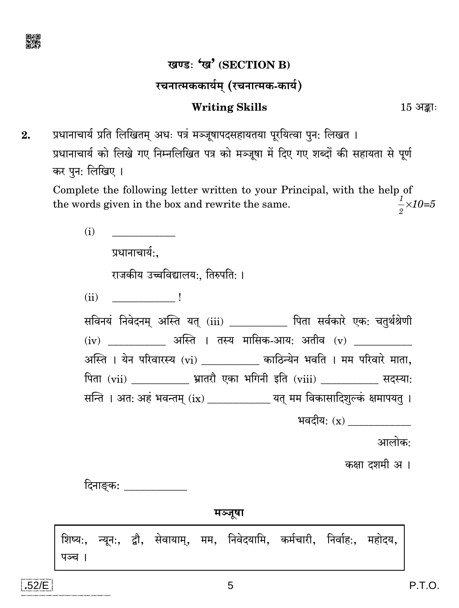

## खण्डः 'ख' (SECTION B)

#### रचनात्मककार्यम् (रचनात्मक-कार्य)

#### **Writing Skills**

 $15 \n35$ :

प्रधानाचार्य प्रति लिखितम अधः पत्रं मञ्जूषापदसहायतया पुरयित्वा पुन: लिखत ।  $2.$ प्रधानाचार्य को लिखे गए निम्नलिखित पत्र को मञ्जूषा में दिए गए शब्दों की सहायता से पूर्ण कर पुन: लिखिए ।

Complete the following letter written to your Principal, with the help of  $\frac{1}{2} \times 10 = 5$ the words given in the box and rewrite the same.

प्रधानाचार्य:.

 $(i)$ 

राजकीय उच्चविद्यालय:. तिरुपति: ।

 $(ii)$   $\qquad \qquad$ 

सविनयं निवेदनम् अस्ति यत् (iii) \_\_\_\_\_\_\_\_\_ पिता सर्वकारे एक: चतुर्थश्रेणी  $(iv)$  अस्ति । तस्य मासिक-आय: अतीव (y) अस्ति । येन परिवारस्य (vi) \_\_\_\_\_\_\_\_\_\_ काठिन्येन भवति । मम परिवारे माता. पिता (vii) \_\_\_\_\_\_\_\_\_\_\_\_ भ्रातरौ एका भगिनी इति (viii) \_\_\_\_\_\_\_\_\_\_\_\_ सदस्या: सन्ति । अत: अहं भवन्तम् (ix) \_\_\_\_\_\_\_\_\_\_\_\_\_ यत् मम विकासादिशुल्कं क्षमापयतु । भवदीय:  $(x)$ 

आलोक:

कक्षा दशमी अ।

मञ्जूषा

शिष्य:, न्यून:, द्वौ, सेवायाम्, मम, निवेदयामि, कर्मचारी, निर्वाह:, महोदय, पञ्च ।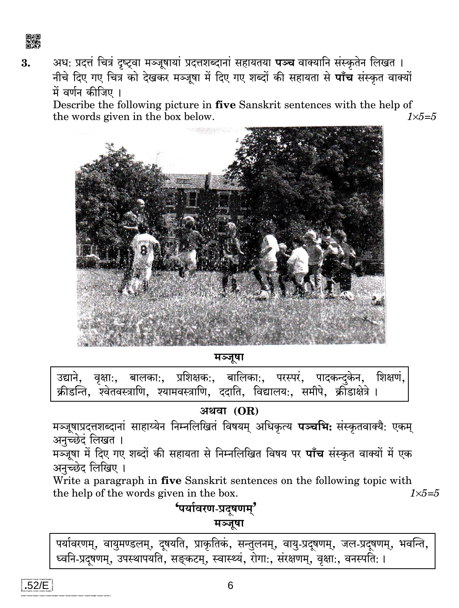

 $\overline{\mathbf{3}}$ .

अध: प्रदत्तं चित्रं दृष्ट्वा मञ्जूषायां प्रदत्तशब्दानां सहायतया **पञ्च** वाक्यानि संस्कृतेन लिखत । नीचे दिए गए चित्र को देखकर मञ्जूषा में दिए गए शब्दों की सहायता से **पाँच** संस्कृत वाक्यों में वर्णन कीजिए ।

Describe the following picture in five Sanskrit sentences with the help of the words given in the box below.  $1 \times 5 = 5$ 



मञ्जूषा

बालका:, प्रशिक्षक:, बालिका:, परस्परं, पादकन्दकेन, शिक्षण. उद्याने. वृक्षा:, क्रीडन्ति, श्वेतवस्त्राणि, श्यामवस्त्राणि, ददाति, विद्यालय:, समीपे, क्रीडाक्षेत्रे ।

अथवा $(OR)$ 

मञ्जूषाप्रदत्तशब्दानां साहाय्येन निम्नलिखितं विषयम् अधिकृत्य पञ्चभि: संस्कृतवाक्यै: एकम् अनुच्छेदं लिखत ।

मञ्जूषा में दिए गए शब्दों की सहायता से निम्नलिखित विषय पर **पाँच** संस्कृत वाक्यों में एक अनुच्छेद लिखिए ।

Write a paragraph in five Sanskrit sentences on the following topic with the help of the words given in the box.  $1 \times 5 = 5$ 

## <u>'पर्यावरण-प्रदूषणम्</u>' मञ्जूषा

पर्यावरणम्, वायुमण्डलम्, दूषयति, प्राकृतिकं, सन्तुलनम्, वायु-प्रदूषणम्, जल-प्रदूषणम्, भवन्ति, ध्वनि-प्रदुषणम्, उपस्थापयति, सङ्कटम्, स्वास्थ्यं, रोगाः, संरक्षणम्, वृक्षाः, वनस्पतिः ।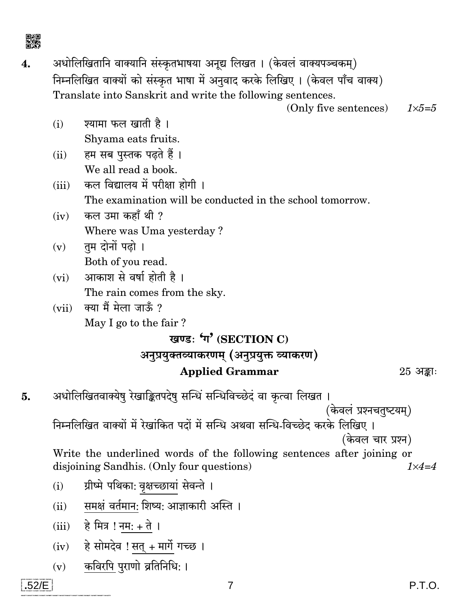अधोलिखितानि वाक्यानि संस्कृतभाषया अनूद्य लिखत। (केवलं वाक्यपञ्चकम्)  $\overline{\mathbf{4}}$ . निम्नलिखित वाक्यों को संस्कृत भाषा में अनुवाद करके लिखिए। (केवल पाँच वाक्य) Translate into Sanskrit and write the following sentences.

> (Only five sentences)  $1 \times 5 = 5$

- श्यामा फल खाती है।  $(i)$ Shyama eats fruits.
- हम सब पुस्तक पढते हैं।  $(ii)$ We all read a book.
- कल विद्यालय में परीक्षा होगी ।  $(iii)$ The examination will be conducted in the school tomorrow.
- कल उमा कहाँ थी ?  $(iv)$ Where was Uma yesterday?
- तम दोनों पढो ।  $(v)$ Both of you read.
- आकाश से वर्षा होती है।  $(vi)$ The rain comes from the sky.
- क्या मैं मेला जाऊँ ?  $(vii)$ May I go to the fair?

#### खण्ड: 'ग' (SECTION C)

# अनुप्रयुक्तव्याकरणम् (अनुप्रयुक्तं व्याकरण) **Applied Grammar**

 $25 \;$ अङ्काः

- अधोलिखितवाक्येषु रेखाङ्कितपदेषु सन्धिं सन्धिविच्छेदं वा कृत्वा लिखत । 5. (केवलं प्रश्नचतुष्टयम्) निम्नलिखित वाक्यों में रेखांकित पदों में सन्धि अथवा सन्धि-विच्छेद करके लिखिए । (केवल चार प्रश्न) Write the underlined words of the following sentences after joining or disjoining Sandhis. (Only four questions)  $1 \times 4 = 4$ ग्रीष्मे पथिकाः वृक्षच्छायां सेवन्ते ।  $(i)$ समक्षं वर्तमान: शिष्य: आज्ञाकारी अस्ति ।  $(ii)$ (iii) हे मित्र ! नम: + ते ।
	- (iv) हे सोमदेव ! सत + मार्गे गच्छ ।
	- $(v)$  कविरपि पुराणो व्रतिनिधि: ।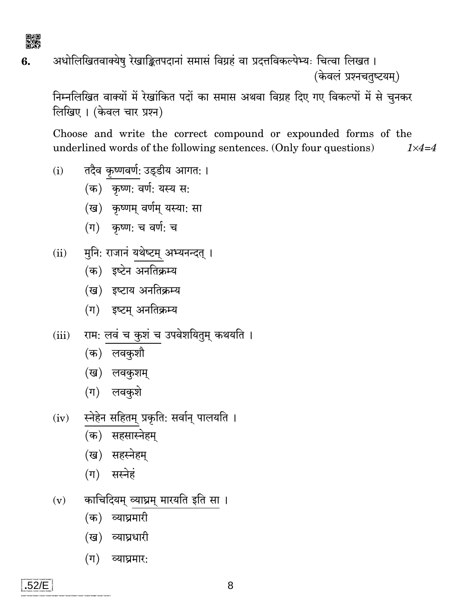

अधोलिखितवाक्येषु रेखाङ्कितपदानां समासं विग्रहं वा प्रदत्तविकल्पेभ्यः चित्वा लिखत। 6. (केवलं प्रश्नचतृष्टयम)

निम्नलिखित वाक्यों में रेखांकित पदों का समास अथवा विग्रह दिए गए विकल्पों में से चुनकर लिखिए। (केवल चार प्रश्न)

Choose and write the correct compound or expounded forms of the underlined words of the following sentences. (Only four questions)  $1 \times 4 = 4$ 

- तदैव कृष्णवर्ण: उड्डीय आगत: ।  $(i)$ 
	- (क) कृष्ण: वर्ण: यस्य स:
	- (ख) कृष्णम् वर्णम् यस्या: सा
	- (ग) कृष्ण: च वर्ण: च
- मुनि: राजानं यथेष्टम् अभ्यनन्दत् ।  $(ii)$ 
	- (क) इष्टेन अनतिक्रम्य
	- (ख) इष्टाय अनतिक्रम्य
	- (ग) इष्टम् अनतिक्रम्य
- राम: लवं च कुशं च उपवेशयितुम् कथयति ।  $(iii)$ 
	- (क) लवकशौ
	- (ख) लवकुशम्
	- (ग) लवकुशे
- (iv) स्नेहेन सहितम् प्रकृति: सर्वान् पालयति ।
	- (क) सहसास्नेहम
	- (ख) सहस्नेहम्
	- (ग) सस्नेहं
- काचिदियम् व्याघ्रम् मारयति इति सा ।  $(v)$ 
	- (क) व्याघ्रमारी
	- (ख) व्याघ्रधारी
	- $($ ग $)$  व्याघ्रमार:

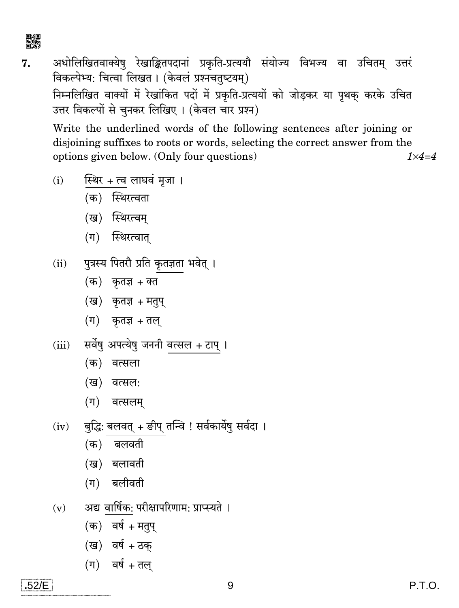驟

अधोलिखितवाक्येषु रेखाङ्कितपदानां प्रकृति-प्रत्ययौ संयोज्य विभज्य वा उचितम् उत्तरं 7. विकल्पेभ्य: चित्वा लिखत। (केवलं प्रश्नचतुष्टयम्) निम्नलिखित वाक्यों में रेखांकित पदों में प्रकृति-प्रत्ययों को जोड़कर या पृथक् करके उचित उत्तर विकल्पों से चुनकर लिखिए। (केवल चार प्रश्न)

Write the underlined words of the following sentences after joining or disjoining suffixes to roots or words, selecting the correct answer from the options given below. (Only four questions)  $1 \times 4 = 4$ 

- (क) स्थिरत्वता
- (ख) स्थिरत्वम
- (ग) स्थिरत्वात
- पुत्रस्य पितरौ प्रति कृतज्ञता भवेत् ।  $(ii)$ 
	- $(\overline{a})$  कृतज्ञ + क्त
	- (ख) कृतज्ञ + मतुप्
	- $(\overline{\mathsf{q}})$  कृतज्ञ + तल्
- सर्वेषु अपत्येषु जननी वत्सल + टाप् ।  $(iii)$ 
	- (क) वत्सला
	- (ख) वत्सल:
	- $(\Pi)$ वत्सलम्
- बुद्धिः बलवत् + ङीप् तन्वि ! सर्वकार्येषु सर्वदा ।  $(iv)$ 
	- (क) बलवती
	- (ख) बलावती
	- $($ ग) बलीवती
- अद्य वार्षिक: परीक्षापरिणाम: प्राप्स्यते ।  $(v)$ 
	- $(\overline{a})$  वर्ष + मतुप्
	- (ख) वर्ष + ठक्
	- $(\bar{\eta})$  वर्ष + तल्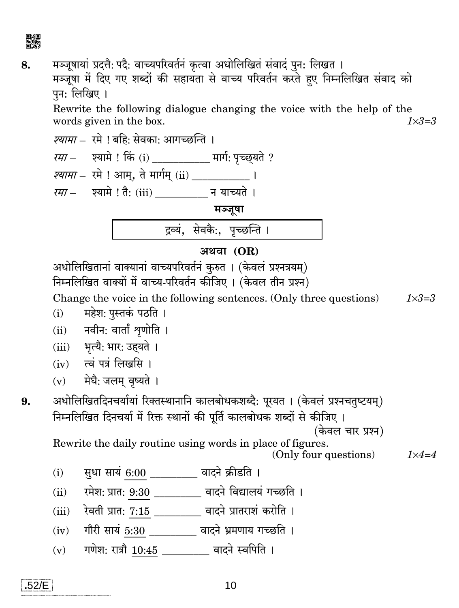驟

मञ्जूषायां प्रदत्तै: पदै: वाच्यपरिवर्तनं कृत्वा अधोलिखितं संवादं पुन: लिखत । 8. मञ्जूषा में दिए गए शब्दों की सहायता से वाच्य परिवर्तन करते हुए निम्नलिखित संवाद को पन: लिखिए ।

Rewrite the following dialogue changing the voice with the help of the words given in the box.  $1 \times 3 = 3$ 

#### अथवा $(OR)$

अधोलिखितानां वाक्यानां वाच्यपरिवर्तनं कुरुत । (केवलं प्रश्नत्रयम्)

निम्नलिखित वाक्यों में वाच्य-परिवर्तन कीजिए। (केवल तीन प्रश्न)

Change the voice in the following sentences. (Only three questions)  $1 \times 3 = 3$ 

- महेश: पुस्तकं पठति ।  $(i)$
- (ii) नवीन: वार्तां शृणोति ।
- (iii) भृत्यै: भार: उह्यते ।
- $(iv)$  त्वं पत्रं लिखसि ।
- $(v)$  मेघै: जलम वृष्यते ।

अधोलिखितदिनचर्यायां रिक्तस्थानानि कालबोधकशब्दै: पूरयत । (केवलं प्रश्नचतुष्टयम्) 9. निम्नलिखित दिनचर्या में रिक्त स्थानों की पूर्ति कालबोधक शब्दों से कीजिए । (केवल चार प्रश्न)

Rewrite the daily routine using words in place of figures.

(Only four questions)  $1 \times 4 = 4$ 

- सुधा सायं 6:00 \_\_\_\_\_\_\_ वादने क्रीडति ।  $(i)$
- रमेश: प्रात: 9:30 \_\_\_\_\_\_\_\_ वादने विद्यालयं गच्छति ।  $(ii)$
- रेवती प्रातः <u>7:15</u> \_\_\_\_\_\_\_ वादने प्रातराशं करोति ।  $(iii)$
- गौरी सायं 5:30 वादने भ्रमणाय गच्छति ।  $(iv)$
- गणेश: रात्रौ 10:45 \_\_\_\_\_\_\_\_ वादने स्वपिति ।  $(v)$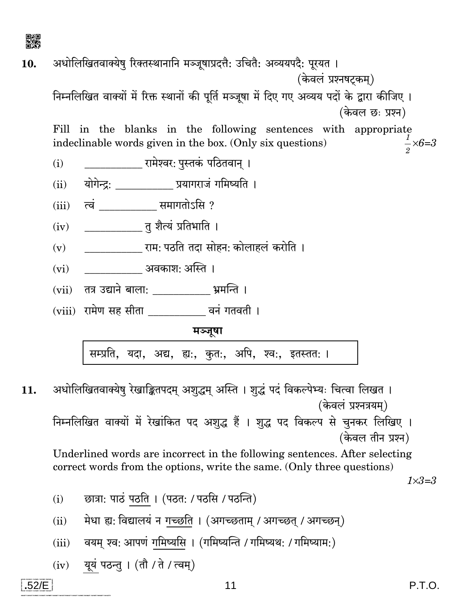



(केवलं प्रश्नत्रयम)

निम्नलिखित वाक्यों में रेखांकित पद अशुद्ध हैं । शुद्ध पद विकल्प से चुनकर लिखिए । (केवल तीन प्रश्न)

Underlined words are incorrect in the following sentences. After selecting correct words from the options, write the same. (Only three questions)

 $1 \times 3 = 3$ 

- छात्रा: पाठं पठति । (पठत: / पठसि / पठन्ति)  $(i)$
- मेधा ह्य: विद्यालयं न गच्छति । (अगच्छताम् / अगच्छत् / अगच्छन्)  $(ii)$
- वयम् श्वः आपणं गमिष्यसि । (गमिष्यन्ति / गमिष्यथः / गमिष्यामः)  $(iii)$
- यूयं पठन्तु । (तौ / ते / त्वम्)  $(iv)$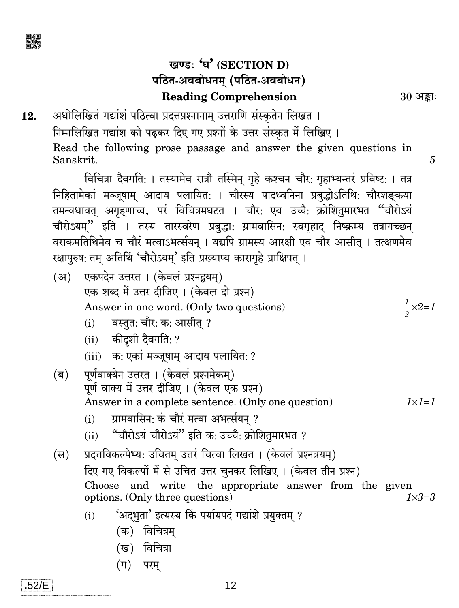

## खण्डः 'घ' (SECTION D) पठित-अवबोधनम् (पठित-अवबोधन) **Reading Comprehension**

 $30 \frac{3}{5}$ :

 $\overline{5}$ 

अधोलिखितं गद्यांशं पठित्वा प्रदत्तप्रश्नानाम् उत्तराणि संस्कृतेन लिखत । 12. निम्नलिखित गद्यांश को पढकर दिए गए प्रश्नों के उत्तर संस्कृत में लिखिए । Read the following prose passage and answer the given questions in Sanskrit.

विचित्रा दैवगति: । तस्यामेव रात्रौ तस्मिन् गृहे कश्चन चौर: गृहाभ्यन्तरं प्रविष्ट: । तत्र निहितामेकां मञ्जूषाम् आदाय पलायित: । चौरस्य पादध्वनिना प्रबुद्धोऽतिथि: चौरशङ्कया तमन्वधावत् अगृहणाच्च, परं विचित्रमघटत । चौर: एव उच्चै: क्रोशितुमारभत "चौरोऽयं चौरोऽयम्" इति । तस्य तारस्वरेण प्रबुद्धाः ग्रामवासिनः स्वगृहाद् निष्क्रम्य तत्रागच्छन् वराकमतिथिमेव च चौरं मत्वाऽभर्त्सयन् । यद्यपि ग्रामस्य आरक्षी एव चौर आसीत् । तत्क्षणमेव रक्षापुरुष: तम् अतिथिं 'चौरोऽयम्' इति प्रख्याप्य कारागृहे प्राक्षिपत् ।

- $(3)$ एकपदेन उत्तरत । (केवलं प्रश्नद्वयम्) एक शब्द में उत्तर दीजिए। (केवल दो प्रश्न) Answer in one word. (Only two questions)  $\frac{1}{2} \times 2 = 1$ वस्तुत: चौर: क: आसीत ?  $(i)$  $(ii)$  कीदशी दैवगति: ? (iii) क: एकां मञ्जूषाम् आदाय पलायित: ?
- पूर्णवाक्येन उत्तरत । (केवलं प्रश्नमेकम्)  $(\overline{\mathsf{q}})$ पूर्ण वाक्य में उत्तर दीजिए। (केवल एक प्रश्न) Answer in a complete sentence. (Only one question)  $1 \times 1 = 1$ 
	- ग्रामवासिन: कं चौरं मत्वा अभर्त्सयन् ?  $(i)$
	- (ii) "चौरोऽयं चौरोऽयं" इति क: उच्चै: क्रोशितुमारभत ?
- प्रदत्तविकल्पेभ्य: उचितम् उत्तरं चित्वा लिखत। (केवलं प्रश्नत्रयम्)  $(\overline{\mathbf{H}})$ दिए गए विकल्पों में से उचित उत्तर चुनकर लिखिए। (केवल तीन प्रश्न) Choose and write the appropriate answer from the given options. (Only three questions)  $1 \times 3 = 3$ 
	- 'अदुभुता' इत्यस्य किं पर्यायपदं गद्यांशे प्रयुक्तम् ?  $(i)$ 
		- (क) विचित्रम्
		- (ख) विचित्रा
		- $(\bar{\eta})$  परम्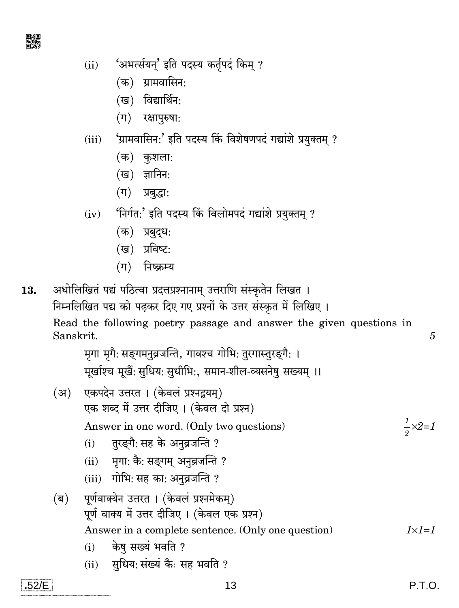

- 'अभर्त्सयन्' इति पदस्य कर्तृपदं किम् ?  $(ii)$ 
	- $($ क) ग्रामवासिन:
	- (ख) विद्यार्थिन:
	- $(\Pi)$ रक्षापुरुषा:
- 'ग्रामवासिन:' इति पदस्य किं विशेषणपदं गद्यांशे प्रयुक्तम् ?  $(iii)$ 
	- (क) कुशला:
	- $(g)$  ज्ञानिन:
	- (ग) प्रबुद्धाः
- 'निर्गत:' इति पदस्य किं विलोमपदं गद्यांशे प्रयक्तम ?  $(iv)$ 
	- (क) प्रबुद्ध:
	- (ख) प्रविष्ट:
	- $(1)$  निष्क्रम्य
- अधोलिखितं पद्यं पठित्वा प्रदत्तप्रश्नानाम् उत्तराणि संस्कृतेन लिखत । 13.

निम्नलिखित पद्य को पढ़कर दिए गए प्रश्नों के उत्तर संस्कृत में लिखिए । Read the following poetry passage and answer the given questions in Sanskrit.

मगा मगै: सङगमनुव्रजन्ति, गावश्च गोभि: तुरगास्तुरङगै: । मुर्खाश्च मुर्खैः सुधियः सुधीभि:, समान-शील-व्यसनेषु सख्यम ।।

(अ) एकपदेन उत्तरत। (केवलं प्रश्नद्वयम) एक शब्द में उत्तर दीजिए। (केवल दो प्रश्न)  $\frac{1}{2} \times 2 = 1$ Answer in one word. (Only two questions) तुरङ्गै: सह के अनुव्रजन्ति ?  $(i)$ (ii) मृगा: कै: सङ्गम् अनुव्रजन्ति ? (iii) गोभि: सह का: अनुव्रजन्ति ? पूर्णवाक्येन उत्तरत। (केवलं प्रश्नमेकम्) (ब) पूर्ण वाक्य में उत्तर दीजिए। (केवल एक प्रश्न) Answer in a complete sentence. (Only one question)  $1 \times 1 = 1$ केषु सख्यं भवति ?  $(i)$ (ii) सुधिय: संख्यं कैः सह भवति ?

5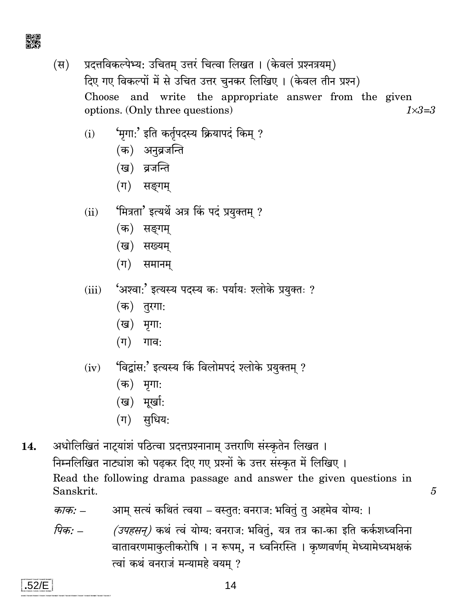प्रदत्तविकल्पेभ्य: उचितम् उत्तरं चित्वा लिखत । (केवलं प्रश्नत्रयम्)  $(\overline{\mathbf{H}})$ दिए गए विकल्पों में से उचित उत्तर चुनकर लिखिए। (केवल तीन प्रश्न) Choose and write the appropriate answer from the given options. (Only three questions)  $1 \times 3 = 3$ 

- 'मृगा:' इति कर्तुपदस्य क्रियापदं किम् ?  $(i)$ 
	- (क) अनुव्रजन्ति
	- (ख) व्रजन्ति
	- (ग) सङ्गम्
- 'मित्रता' इत्यर्थे अत्र किं पदं प्रयुक्तम् ?  $(ii)$ 
	- (क) सङ्गम्
	- (ख) सख्यम
	- $(\Pi)$  समानम्
- 'अश्वा:' इत्यस्य पदस्य कः पर्यायः श्लोके प्रयुक्तः ?  $(iii)$ 
	- (क) तुरगा:
	- (ख) मृगा:
	- $(\pi)$  गाव:
- 'विद्वांस:' इत्यस्य किं विलोमपदं श्लोके प्रयुक्तम ?  $(iv)$ 
	- $(\overline{\sigma})$  मृगा:
	- (ख) मूर्खा:
	- (ग) सुधिय:

अधोलिखितं नाट्यांशं पठित्वा प्रदत्तप्रश्नानाम् उत्तराणि संस्कृतेन लिखत । 14. निम्नलिखित नाट्यांश को पढ़कर दिए गए प्रश्नों के उत्तर संस्कृत में लिखिए। Read the following drama passage and answer the given questions in Sanskrit.

- आम सत्यं कथितं त्वया वस्तुत: वनराज: भवितं तु अहमेव योग्य: । काक:  $-$
- पिक: *(उपहसन्)* कथं त्वं योग्य: वनराज: भवितुं, यत्र तत्र का-का इति कर्कशध्वनिना वातावरणमाकुलीकरोषि । न रूपम्, न ध्वनिरस्ति । कृष्णवर्णम् मेध्यामेध्यभक्षकं त्वां कथं वनराजं मन्यामहे वयम् ?

5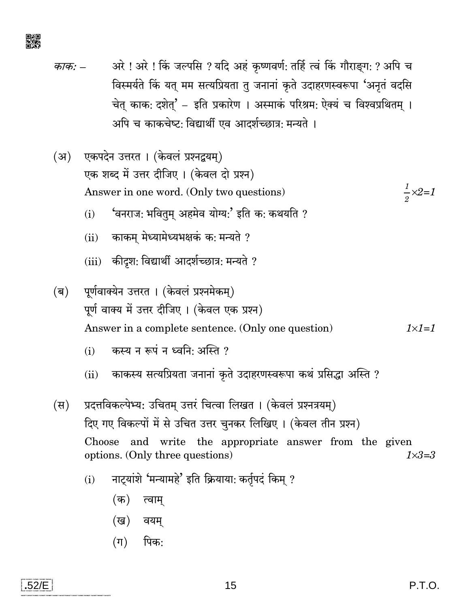驟

- अरे! अरे! किं जल्पसि ? यदि अहं कृष्णवर्ण: तर्हि त्वं किं गौराङ्ग: ? अपि च काक: – विस्मर्यते किं यत मम सत्यप्रियता तु जनानां कृते उदाहरणस्वरूपा 'अनृतं वदसि चेत् काकः दशेत्' – इति प्रकारेण । अस्माकं परिश्रमः ऐक्यं च विश्वप्रथितम् । अपि च काकचेष्ट: विद्यार्थी एव आदर्शच्छात्र: मन्यते ।
- एकपदेन उत्तरत। (केवलं प्रश्नद्वयम)  $(35)$ एक शब्द में उत्तर दीजिए। (केवल दो प्रश्न)  $\frac{1}{2} \times 2 = 1$ Answer in one word. (Only two questions)
	- 'वनराज: भवितम अहमेव योग्य:' इति क: कथयति ?  $(i)$
	- काकम मेध्यामेध्यभक्षकं कुमन्यते ?  $(ii)$
	- (iii) कीदश: विद्यार्थी आदर्शच्छात्र: मन्यते ?
- पूर्णवाक्येन उत्तरत । (केवलं प्रश्नमेकम्)  $(\overline{\mathbf{p}})$ पूर्ण वाक्य में उत्तर दीजिए। (केवल एक प्रश्न) Answer in a complete sentence. (Only one question)  $1\times1=1$ 
	- कस्य न रूपं न ध्वनि अस्ति ?  $(i)$
	- काकस्य सत्यप्रियता जनानां कृते उदाहरणस्वरूपा कथं प्रसिद्धा अस्ति ?  $(ii)$
- प्रदत्तविकल्पेभ्य: उचितम् उत्तरं चित्वा लिखत। (केवलं प्रश्नत्रयम्)  $(\overline{\mathbf{H}})$ दिए गए विकल्पों में से उचित उत्तर चुनकर लिखिए। (केवल तीन प्रश्न) Choose and write the appropriate answer from the given options. (Only three questions)  $1 \times 3 = 3$ 
	- नाटयांशे 'मन्यामहे' इति क्रियाया: कर्तुपदं किम ?  $(i)$ 
		- $(\overline{a})$ त्वाम्
		- (ख) वयम
		- $(\pi)$ पिक: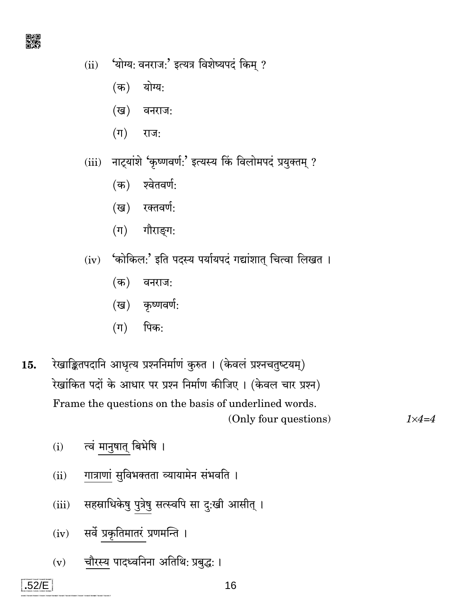

- 'योग्य: वनराज:' इत्यत्र विशेष्यपदं किम् ?  $(ii)$ 
	- $(\overline{a})$ योग्य:
	- $(\overline{g})$ वनराज:
	- $(\Pi)$ राज:
- नाट्यांशे 'कृष्णवर्ण:' इत्यस्य किं विलोमपदं प्रयुक्तम् ?  $(iii)$ 
	- श्वेतवर्ण:  $(\overline{\Phi})$
	- $(\overline{g})$ रक्तवर्ण:
	- गौराङ्ग:  $(\Pi)$
- 'कोकिल:' इति पदस्य पर्यायपदं गद्यांशात् चित्वा लिखत ।  $(iv)$ 
	- $(\overline{a})$ वनराज:
	- कृष्णवर्णः  $(\overline{g})$
	- पिक:  $(\Pi)$
- रेखाङ्कितपदानि आधृत्य प्रश्ननिर्माणं कुरुत । (केवलं प्रश्नचतुष्टयम्) 15. रेखांकित पदों के आधार पर प्रश्न निर्माण कीजिए। (केवल चार प्रश्न) Frame the questions on the basis of underlined words. (Only four questions)
	- त्वं मानुषात् बिभेषि ।  $(i)$
	- गात्राणां सुविभक्तता व्यायामेन संभवति ।  $(ii)$
	- सहस्राधिकेषु पुत्रेषु सत्स्वपि सा दुःखी आसीत् ।  $(iii)$
	- सर्वे प्रकृतिमातरं प्रणमन्ति ।  $(iv)$
	- चौरस्य पादध्वनिना अतिथि: प्रबुद्ध: ।  $(v)$

 $1 \times 4 = 4$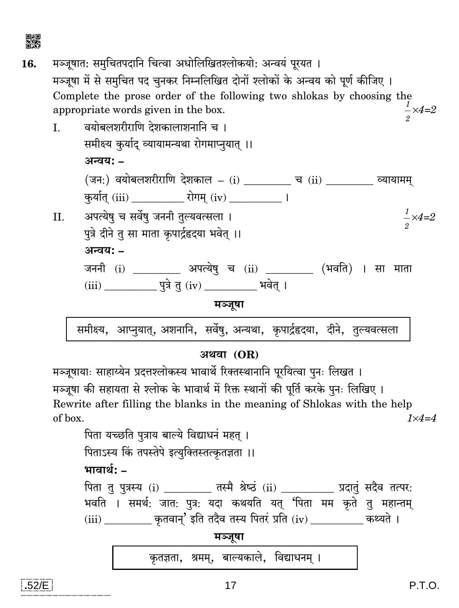

- मञ्जूषात: समुचितपदानि चित्वा अधोलिखितश्लोकयो: अन्वयं पूरयत । 16. मञ्जूषा में से समुचित पद चुनकर निम्नलिखित दोनों श्लोकों के अन्वय को पूर्ण कीजिए । Complete the prose order of the following two shlokas by choosing the appropriate words given in the box.  $\frac{1}{2} \times 4 = 2$ वयोबलशरीराणि देशकालाशनानि च ।  $\mathbf{I}$ समीक्ष्य कुर्याद व्यायामन्यथा रोगमाप्नयात ।। अन्वय: -(जन:) वयोबलशरीराणि देशकाल – (i) च (ii) व्यायामम्
	- कुर्यात् (iii) \_\_\_\_\_\_\_\_\_\_\_ रोगम् (iv) \_\_\_\_\_\_\_\_\_\_ । अपत्येषु च सर्वेषु जननी तुल्यवत्सला ।  $\frac{1}{2} \times 4=2$  $\Pi$ . पुत्रे दीने तु सा माता कृपार्द्रहृदया भवेत् ।। अन्वय: -जननी (i) \_\_\_\_\_\_\_\_\_ अपत्येषु च (ii) \_\_\_\_\_\_\_\_\_ (भवति) । सा माता (iii) \_\_\_\_\_\_\_\_\_\_\_\_\_\_\_ पुत्रे तु (iv) \_\_\_\_\_\_\_\_\_\_ भवेत् । मञ्जूषा

समीक्ष्य, आप्नुयात्, अशनानि, सर्वेषु, अन्यथा, कृपार्द्रहृदया, दीने, तुल्यवत्सला



मञ्जूषायाः साहाय्येन प्रदत्तश्लोकस्य भावार्थे रिक्तस्थानानि पूरयित्वा पुनः लिखत । मञ्जषा की सहायता से श्लोक के भावार्थ में रिक्त स्थानों की पर्ति करके पनः लिखिए । Rewrite after filling the blanks in the meaning of Shlokas with the help of box.  $1 \times 4 = 4$ 

पिता यच्छति पुत्राय बाल्ये विद्याधनं महत् । पिताऽस्य किं तपस्तेपे इत्युक्तिस्तत्कृतज्ञता ।। भावार्थः  $-$ पिता तु पुत्रस्य (i) \_\_\_\_\_\_\_\_ तस्मै श्रेष्ठं (ii) \_\_\_\_\_\_\_\_\_ प्रदातुं सदैव तत्पर: भवति । समर्थ: जात: पुत्र: यदा कथयति यत् 'पिता मम कृते तु महान्तम् (iii) \_\_\_\_\_\_\_\_\_ कृतवान्' इति तदैव तस्य पितरं प्रति (iv) \_\_\_\_\_\_\_\_\_ कथ्यते । मञ्जूषा कृतज्ञता, श्रमम्, बाल्यकाले, विद्याधनम् ।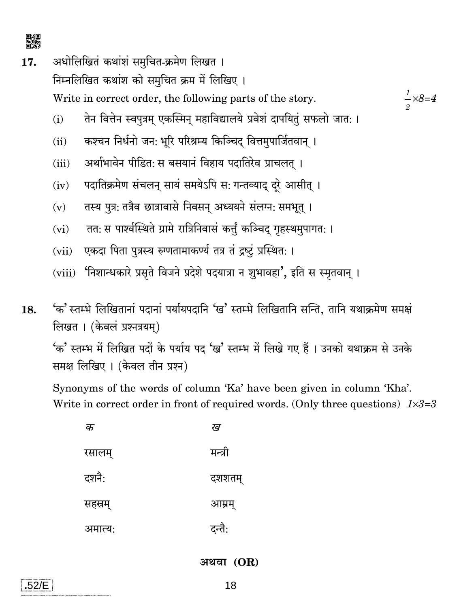अधोलिखितं कथांशं समुचित-क्रमेण लिखत। 17. निम्नलिखित कथांश को समुचित क्रम में लिखिए। Write in correct order, the following parts of the story.

 $\frac{1}{2} \times 8 = 4$ 

- तेन वित्तेन स्वपुत्रम एकस्मिन महाविद्यालये प्रवेशं दापयितुं सफलो जात:।  $(i)$
- कश्चन निर्धनो जन: भूरि परिश्रम्य किञ्चिद् वित्तमुपार्जितवान् ।  $(ii)$
- अर्थाभावेन पीडित: स बसयानं विहाय पदातिरेव प्राचलत ।  $(iii)$
- पदातिक्रमेण संचलन सायं समयेऽपि स: गन्तव्याद दरे आसीत् ।  $(iv)$
- तस्य पुत्र: तत्रैव छात्रावासे निवसन् अध्ययने संलग्न: समभूत् ।  $(v)$
- तत: स पार्श्वस्थिते ग्रामे रात्रिनिवासं कर्त्तुं कञ्चिद् गृहस्थमुपागत: ।  $(v_i)$
- एकदा पिता पुत्रस्य रुग्णतामाकर्ण्य तत्र तं द्रष्टं प्रस्थित: ।  $(vii)$
- 'निशान्धकारे प्रसृते विजने प्रदेशे पदयात्रा न शुभावहा', इति स स्मृतवान् ।  $(viii)$
- 'क' स्तम्भे लिखितानां पदानां पर्यायपदानि 'ख' स्तम्भे लिखितानि सन्ति, तानि यथाक्रमेण समक्षं 18. लिखत। (केवलं प्रश्नत्रयम्)

'क' स्तम्भ में लिखित पदों के पर्याय पद 'ख' स्तम्भ में लिखे गए हैं । उनको यथाक्रम से उनके समक्ष लिखिए। (केवल तीन प्रश्न)

Synonyms of the words of column 'Ka' have been given in column 'Kha'. Write in correct order in front of required words. (Only three questions)  $1\times3=3$ 

| क्र     | ख       |
|---------|---------|
| रसालम्  | मन्त्री |
| दशनै:   | दशशतम्  |
| सहस्रम् | आम्रम्  |
| अमात्य: | दन्तै:  |